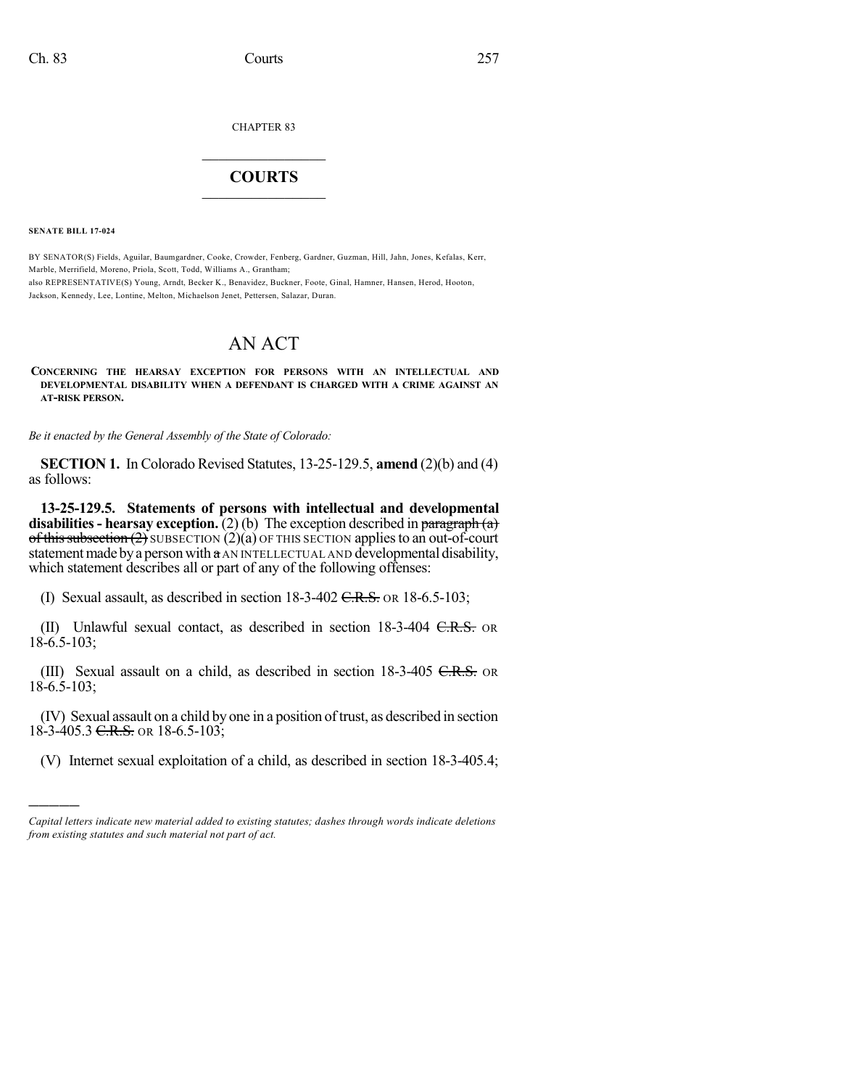CHAPTER 83

## $\overline{\phantom{a}}$  . The set of the set of the set of the set of the set of the set of the set of the set of the set of the set of the set of the set of the set of the set of the set of the set of the set of the set of the set o **COURTS**  $\_$   $\_$   $\_$   $\_$   $\_$   $\_$   $\_$   $\_$

**SENATE BILL 17-024**

)))))

BY SENATOR(S) Fields, Aguilar, Baumgardner, Cooke, Crowder, Fenberg, Gardner, Guzman, Hill, Jahn, Jones, Kefalas, Kerr, Marble, Merrifield, Moreno, Priola, Scott, Todd, Williams A., Grantham; also REPRESENTATIVE(S) Young, Arndt, Becker K., Benavidez, Buckner, Foote, Ginal, Hamner, Hansen, Herod, Hooton, Jackson, Kennedy, Lee, Lontine, Melton, Michaelson Jenet, Pettersen, Salazar, Duran.

## AN ACT

## **CONCERNING THE HEARSAY EXCEPTION FOR PERSONS WITH AN INTELLECTUAL AND DEVELOPMENTAL DISABILITY WHEN A DEFENDANT IS CHARGED WITH A CRIME AGAINST AN AT-RISK PERSON.**

*Be it enacted by the General Assembly of the State of Colorado:*

**SECTION 1.** In Colorado Revised Statutes, 13-25-129.5, **amend** (2)(b) and (4) as follows:

**13-25-129.5. Statements of persons with intellectual and developmental disabilities- hearsay exception.** (2) (b) The exception described in paragraph (a) of this subsection  $(2)$  SUBSECTION  $(2)(a)$  OF THIS SECTION applies to an out-of-court statement made by a person with  $\alpha$  AN INTELLECTUAL AND developmental disability, which statement describes all or part of any of the following offenses:

(I) Sexual assault, as described in section  $18-3-402$  C.R.S. OR  $18-6.5-103$ ;

(II) Unlawful sexual contact, as described in section 18-3-404 C.R.S. OR 18-6.5-103;

(III) Sexual assault on a child, as described in section 18-3-405 C.R.S. OR 18-6.5-103;

(IV) Sexual assault on a child by one in a position of trust, as described in section 18-3-405.3 C.R.S. OR 18-6.5-103;

(V) Internet sexual exploitation of a child, as described in section 18-3-405.4;

*Capital letters indicate new material added to existing statutes; dashes through words indicate deletions from existing statutes and such material not part of act.*